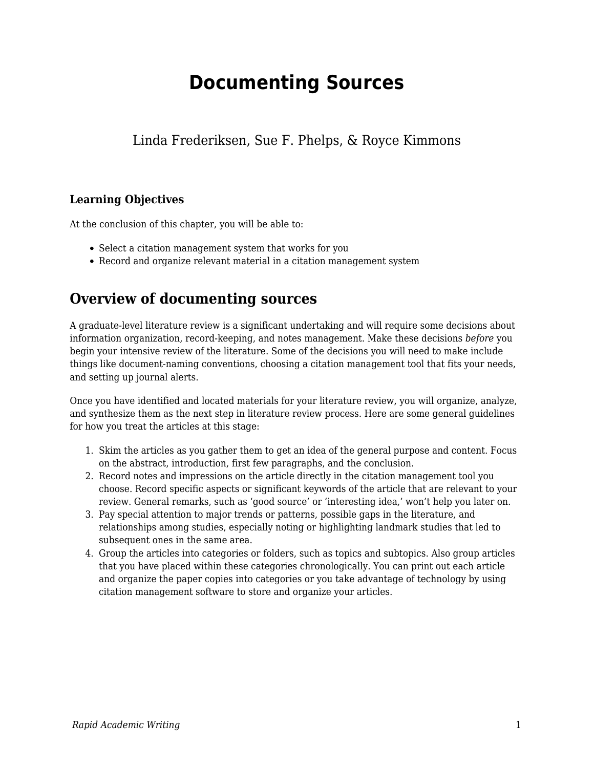# **Documenting Sources**

# Linda Frederiksen, Sue F. Phelps, & Royce Kimmons

## **Learning Objectives**

At the conclusion of this chapter, you will be able to:

- Select a citation management system that works for you
- Record and organize relevant material in a citation management system

# **Overview of documenting sources**

A graduate-level literature review is a significant undertaking and will require some decisions about information organization, record-keeping, and notes management. Make these decisions *before* you begin your intensive review of the literature. Some of the decisions you will need to make include things like document-naming conventions, choosing a citation management tool that fits your needs, and setting up journal alerts.

Once you have identified and located materials for your literature review, you will organize, analyze, and synthesize them as the next step in literature review process. Here are some general guidelines for how you treat the articles at this stage:

- 1. Skim the articles as you gather them to get an idea of the general purpose and content. Focus on the abstract, introduction, first few paragraphs, and the conclusion.
- 2. Record notes and impressions on the article directly in the citation management tool you choose. Record specific aspects or significant keywords of the article that are relevant to your review. General remarks, such as 'good source' or 'interesting idea,' won't help you later on.
- 3. Pay special attention to major trends or patterns, possible gaps in the literature, and relationships among studies, especially noting or highlighting landmark studies that led to subsequent ones in the same area.
- 4. Group the articles into categories or folders, such as topics and subtopics. Also group articles that you have placed within these categories chronologically. You can print out each article and organize the paper copies into categories or you take advantage of technology by using citation management software to store and organize your articles.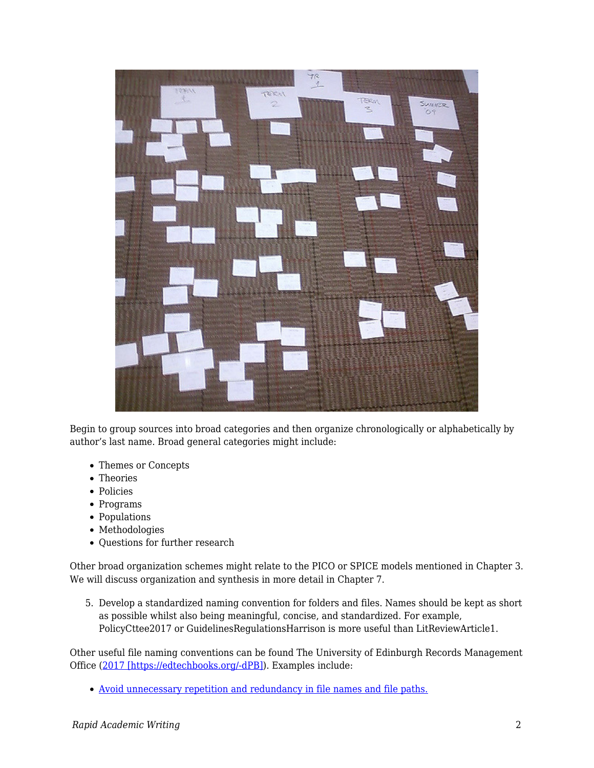

Begin to group sources into broad categories and then organize chronologically or alphabetically by author's last name. Broad general categories might include:

- Themes or Concepts
- Theories
- Policies
- Programs
- Populations
- Methodologies
- Questions for further research

Other broad organization schemes might relate to the PICO or SPICE models mentioned in Chapter 3. We will discuss organization and synthesis in more detail in Chapter 7.

5. Develop a standardized naming convention for folders and files. Names should be kept as short as possible whilst also being meaningful, concise, and standardized. For example, PolicyCttee2017 or GuidelinesRegulationsHarrison is more useful than LitReviewArticle1.

Other useful file naming conventions can be found The University of Edinburgh Records Management Office ([2017 \[https://edtechbooks.org/-dPB\]](https://edtechbooks.org/rapidwriting/lit_rev_conclusion/#ref6)). Examples include:

[Avoid unnecessary repetition and redundancy in file names and file paths.](http://www.ed.ac.uk/records-management/records-management/staff-guidance/electronic-records/naming-conventions/repetition)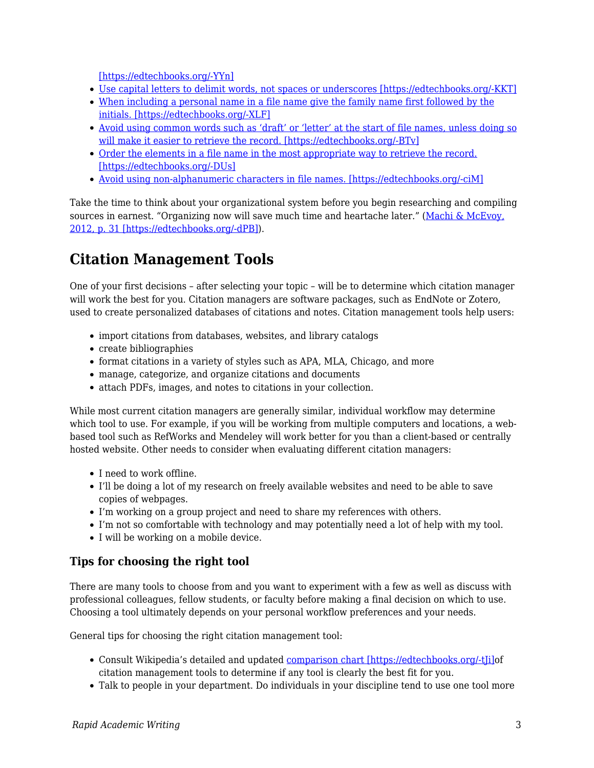[\[https://edtechbooks.org/-YYn\]](http://www.ed.ac.uk/records-management/records-management/staff-guidance/electronic-records/naming-conventions/repetition)

- [Use capital letters to delimit words, not spaces or underscores \[https://edtechbooks.org/-KKT\]](http://www.ed.ac.uk/records-management/records-management/staff-guidance/electronic-records/naming-conventions/delimit-words)
- [When including a personal name in a file name give the family name first followed by the](http://www.ed.ac.uk/records-management/records-management/staff-guidance/electronic-records/naming-conventions/surname) [initials. \[https://edtechbooks.org/-XLF\]](http://www.ed.ac.uk/records-management/records-management/staff-guidance/electronic-records/naming-conventions/surname)
- [Avoid using common words such as 'draft' or 'letter' at the start of file names, unless doing so](http://www.ed.ac.uk/records-management/records-management/staff-guidance/electronic-records/naming-conventions/common-words) [will make it easier to retrieve the record. \[https://edtechbooks.org/-BTv\]](http://www.ed.ac.uk/records-management/records-management/staff-guidance/electronic-records/naming-conventions/common-words)
- [Order the elements in a file name in the most appropriate way to retrieve the record.](http://www.ed.ac.uk/records-management/records-management/staff-guidance/electronic-records/naming-conventions/ordering) [\[https://edtechbooks.org/-DUs\]](http://www.ed.ac.uk/records-management/records-management/staff-guidance/electronic-records/naming-conventions/ordering)
- [Avoid using non-alphanumeric characters in file names. \[https://edtechbooks.org/-ciM\]](http://www.ed.ac.uk/records-management/records-management/staff-guidance/electronic-records/naming-conventions/non-ascii-characters)

Take the time to think about your organizational system before you begin researching and compiling sources in earnest. "Organizing now will save much time and heartache later." ([Machi & McEvoy,](https://edtechbooks.org/rapidwriting/lit_rev_conclusion/#ref6) [2012, p. 31 \[https://edtechbooks.org/-dPB\]](https://edtechbooks.org/rapidwriting/lit_rev_conclusion/#ref6)).

# **Citation Management Tools**

One of your first decisions – after selecting your topic – will be to determine which citation manager will work the best for you. Citation managers are software packages, such as EndNote or Zotero, used to create personalized databases of citations and notes. Citation management tools help users:

- import citations from databases, websites, and library catalogs
- create bibliographies
- format citations in a variety of styles such as APA, MLA, Chicago, and more
- manage, categorize, and organize citations and documents
- attach PDFs, images, and notes to citations in your collection.

While most current citation managers are generally similar, individual workflow may determine which tool to use. For example, if you will be working from multiple computers and locations, a webbased tool such as RefWorks and Mendeley will work better for you than a client-based or centrally hosted website. Other needs to consider when evaluating different citation managers:

- I need to work offline.
- I'll be doing a lot of my research on freely available websites and need to be able to save copies of webpages.
- I'm working on a group project and need to share my references with others.
- I'm not so comfortable with technology and may potentially need a lot of help with my tool.
- I will be working on a mobile device.

## **Tips for choosing the right tool**

There are many tools to choose from and you want to experiment with a few as well as discuss with professional colleagues, fellow students, or faculty before making a final decision on which to use. Choosing a tool ultimately depends on your personal workflow preferences and your needs.

General tips for choosing the right citation management tool:

- Consult Wikipedia's detailed and updated comparison chart [https://edtechbooks.org/-t[i]of citation management tools to determine if any tool is clearly the best fit for you.
- Talk to people in your department. Do individuals in your discipline tend to use one tool more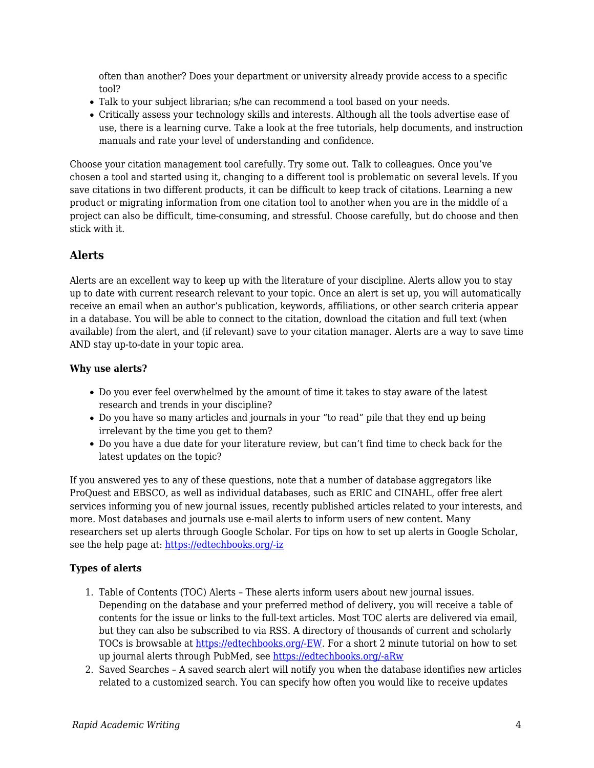often than another? Does your department or university already provide access to a specific tool?

- Talk to your subject librarian; s/he can recommend a tool based on your needs.
- Critically assess your technology skills and interests. Although all the tools advertise ease of use, there is a learning curve. Take a look at the free tutorials, help documents, and instruction manuals and rate your level of understanding and confidence.

Choose your citation management tool carefully. Try some out. Talk to colleagues. Once you've chosen a tool and started using it, changing to a different tool is problematic on several levels. If you save citations in two different products, it can be difficult to keep track of citations. Learning a new product or migrating information from one citation tool to another when you are in the middle of a project can also be difficult, time-consuming, and stressful. Choose carefully, but do choose and then stick with it.

### **Alerts**

Alerts are an excellent way to keep up with the literature of your discipline. Alerts allow you to stay up to date with current research relevant to your topic. Once an alert is set up, you will automatically receive an email when an author's publication, keywords, affiliations, or other search criteria appear in a database. You will be able to connect to the citation, download the citation and full text (when available) from the alert, and (if relevant) save to your citation manager. Alerts are a way to save time AND stay up-to-date in your topic area.

### **Why use alerts?**

- Do you ever feel overwhelmed by the amount of time it takes to stay aware of the latest research and trends in your discipline?
- Do you have so many articles and journals in your "to read" pile that they end up being irrelevant by the time you get to them?
- Do you have a due date for your literature review, but can't find time to check back for the latest updates on the topic?

If you answered yes to any of these questions, note that a number of database aggregators like ProQuest and EBSCO, as well as individual databases, such as ERIC and CINAHL, offer free alert services informing you of new journal issues, recently published articles related to your interests, and more. Most databases and journals use e-mail alerts to inform users of new content. Many researchers set up alerts through Google Scholar. For tips on how to set up alerts in Google Scholar, see the help page at: [https://edtechbooks.org/-iz](https://scholar.google.com/intl/en/scholar/help.html#alerts)

### **Types of alerts**

- 1. Table of Contents (TOC) Alerts These alerts inform users about new journal issues. Depending on the database and your preferred method of delivery, you will receive a table of contents for the issue or links to the full-text articles. Most TOC alerts are delivered via email, but they can also be subscribed to via RSS. A directory of thousands of current and scholarly TOCs is browsable at [https://edtechbooks.org/-EW](http://www.journaltocs.hw.ac.uk/). For a short 2 minute tutorial on how to set up journal alerts through PubMed, see [https://edtechbooks.org/-aRw](https://www.nlm.nih.gov/bsd/viewlet/myncbi/jourup/index.html)
- 2. Saved Searches A saved search alert will notify you when the database identifies new articles related to a customized search. You can specify how often you would like to receive updates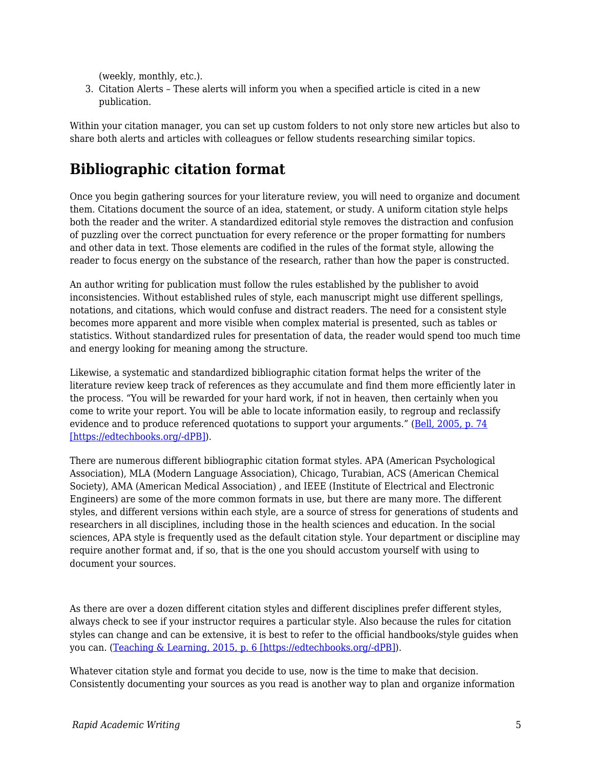(weekly, monthly, etc.).

3. Citation Alerts – These alerts will inform you when a specified article is cited in a new publication.

Within your citation manager, you can set up custom folders to not only store new articles but also to share both alerts and articles with colleagues or fellow students researching similar topics.

# **Bibliographic citation format**

Once you begin gathering sources for your literature review, you will need to organize and document them. Citations document the source of an idea, statement, or study. A uniform citation style helps both the reader and the writer. A standardized editorial style removes the distraction and confusion of puzzling over the correct punctuation for every reference or the proper formatting for numbers and other data in text. Those elements are codified in the rules of the format style, allowing the reader to focus energy on the substance of the research, rather than how the paper is constructed.

An author writing for publication must follow the rules established by the publisher to avoid inconsistencies. Without established rules of style, each manuscript might use different spellings, notations, and citations, which would confuse and distract readers. The need for a consistent style becomes more apparent and more visible when complex material is presented, such as tables or statistics. Without standardized rules for presentation of data, the reader would spend too much time and energy looking for meaning among the structure.

Likewise, a systematic and standardized bibliographic citation format helps the writer of the literature review keep track of references as they accumulate and find them more efficiently later in the process. "You will be rewarded for your hard work, if not in heaven, then certainly when you come to write your report. You will be able to locate information easily, to regroup and reclassify evidence and to produce referenced quotations to support your arguments." ([Bell, 2005, p. 74](https://edtechbooks.org/rapidwriting/lit_rev_conclusion/#ref6)) [\[https://edtechbooks.org/-dPB\]\)](https://edtechbooks.org/rapidwriting/lit_rev_conclusion/#ref6).

There are numerous different bibliographic citation format styles. APA (American Psychological Association), MLA (Modern Language Association), Chicago, Turabian, ACS (American Chemical Society), AMA (American Medical Association) , and IEEE (Institute of Electrical and Electronic Engineers) are some of the more common formats in use, but there are many more. The different styles, and different versions within each style, are a source of stress for generations of students and researchers in all disciplines, including those in the health sciences and education. In the social sciences, APA style is frequently used as the default citation style. Your department or discipline may require another format and, if so, that is the one you should accustom yourself with using to document your sources.

As there are over a dozen different citation styles and different disciplines prefer different styles, always check to see if your instructor requires a particular style. Also because the rules for citation styles can change and can be extensive, it is best to refer to the official handbooks/style guides when you can. ([Teaching & Learning, 2015, p. 6 \[https://edtechbooks.org/-dPB\]\)](https://edtechbooks.org/rapidwriting/lit_rev_conclusion/#ref6).

Whatever citation style and format you decide to use, now is the time to make that decision. Consistently documenting your sources as you read is another way to plan and organize information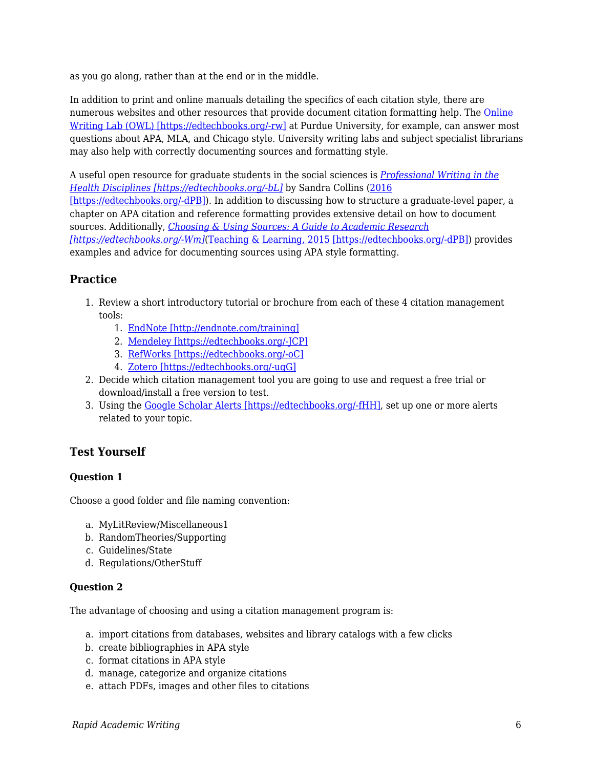as you go along, rather than at the end or in the middle.

In addition to print and online manuals detailing the specifics of each citation style, there are numerous websites and other resources that provide document citation formatting help. The [Online](https://owl.english.purdue.edu/owl/) [Writing Lab \(OWL\) \[https://edtechbooks.org/-rw\]](https://owl.english.purdue.edu/owl/) at Purdue University, for example, can answer most questions about APA, MLA, and Chicago style. University writing labs and subject specialist librarians may also help with correctly documenting sources and formatting style.

A useful open resource for graduate students in the social sciences is *[Professional Writing in the](http://epub-fhd.athabascau.ca/professionalwriting/) [Health Disciplines \[https://edtechbooks.org/-bL\]](http://epub-fhd.athabascau.ca/professionalwriting/)* by Sandra Collins [\(2016](https://edtechbooks.org/rapidwriting/lit_rev_conclusion/#ref6) [\[https://edtechbooks.org/-dPB\]\)](https://edtechbooks.org/rapidwriting/lit_rev_conclusion/#ref6). In addition to discussing how to structure a graduate-level paper, a chapter on APA citation and reference formatting provides extensive detail on how to document sources. Additionally, *[Choosing & Using Sources: A Guide to Academic Research](https://osu.pb.unizin.org/choosingsources/) [\[https://edtechbooks.org/-Wm\]](https://osu.pb.unizin.org/choosingsources/)*([Teaching & Learning, 2015 \[https://edtechbooks.org/-dPB\]\)](https://edtechbooks.org/rapidwriting/lit_rev_conclusion/#ref6) provides examples and advice for documenting sources using APA style formatting.

# **Practice**

- 1. Review a short introductory tutorial or brochure from each of these 4 citation management tools:
	- 1. [EndNote \[http://endnote.com/training\]](http://endnote.com/training)
	- 2. [Mendeley \[https://edtechbooks.org/-JCP\]](http://community.mendeley.com/guides/videos#lightbox/0/)
	- 3. [RefWorks \[https://edtechbooks.org/-oC\]](http://proquest.libguides.com/newrefworks)
	- 4. [Zotero \[https://edtechbooks.org/-uqG\]](https://www.zotero.org/support/screencast_tutorials)
- 2. Decide which citation management tool you are going to use and request a free trial or download/install a free version to test.
- 3. Using the [Google Scholar Alerts \[https://edtechbooks.org/-fHH\]](https://scholar.google.com/scholar_alerts?view_op=list_alerts&hl=en), set up one or more alerts related to your topic.

## **Test Yourself**

### **Question 1**

Choose a good folder and file naming convention:

- a. MyLitReview/Miscellaneous1
- b. RandomTheories/Supporting
- c. Guidelines/State
- d. Regulations/OtherStuff

### **Question 2**

The advantage of choosing and using a citation management program is:

- a. import citations from databases, websites and library catalogs with a few clicks
- b. create bibliographies in APA style
- c. format citations in APA style
- d. manage, categorize and organize citations
- e. attach PDFs, images and other files to citations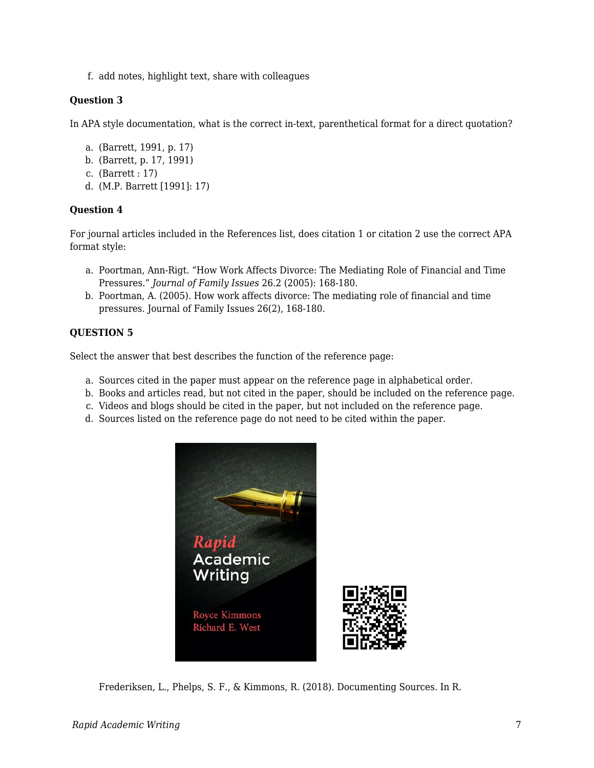f. add notes, highlight text, share with colleagues

#### **Question 3**

In APA style documentation, what is the correct in-text, parenthetical format for a direct quotation?

- a. (Barrett, 1991, p. 17)
- b. (Barrett, p. 17, 1991)
- c. (Barrett : 17)
- d. (M.P. Barrett [1991]: 17)

#### **Question 4**

For journal articles included in the References list, does citation 1 or citation 2 use the correct APA format style:

- a. Poortman, Ann-Rigt. "How Work Affects Divorce: The Mediating Role of Financial and Time Pressures." *Journal of Family Issues* 26.2 (2005): 168-180.
- b. Poortman, A. (2005). How work affects divorce: The mediating role of financial and time pressures. Journal of Family Issues 26(2), 168-180.

### **QUESTION 5**

Select the answer that best describes the function of the reference page:

- a. Sources cited in the paper must appear on the reference page in alphabetical order.
- b. Books and articles read, but not cited in the paper, should be included on the reference page.
- c. Videos and blogs should be cited in the paper, but not included on the reference page.
- d. Sources listed on the reference page do not need to be cited within the paper.



Frederiksen, L., Phelps, S. F., & Kimmons, R. (2018). Documenting Sources. In R.